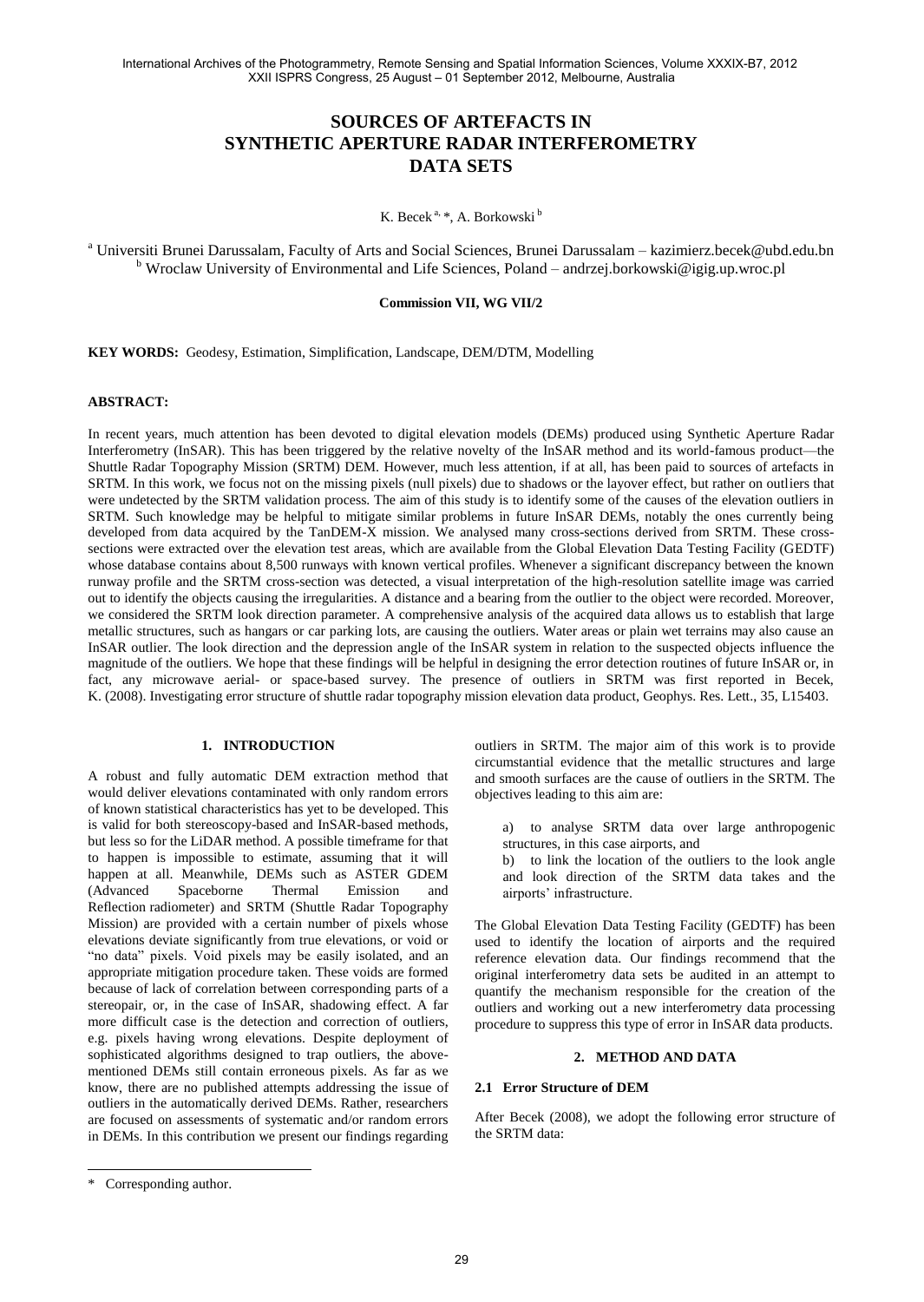# **SOURCES OF ARTEFACTS IN SYNTHETIC APERTURE RADAR INTERFEROMETRY DATA SETS**

K. Becek<sup>a, \*</sup>, A. Borkowski<sup>b</sup>

<sup>a</sup> Universiti Brunei Darussalam, Faculty of Arts and Social Sciences, Brunei Darussalam – kazimierz.becek@ubd.edu.bn <sup>b</sup> Wroclaw University of Environmental and Life Sciences, Poland – andrzej.borkowski@igig.up.wroc.pl

#### **Commission VII, WG VII/2**

**KEY WORDS:** Geodesy, Estimation, Simplification, Landscape, DEM/DTM, Modelling

## **ABSTRACT:**

In recent years, much attention has been devoted to digital elevation models (DEMs) produced using Synthetic Aperture Radar Interferometry (InSAR). This has been triggered by the relative novelty of the InSAR method and its world-famous product—the Shuttle Radar Topography Mission (SRTM) DEM. However, much less attention, if at all, has been paid to sources of artefacts in SRTM. In this work, we focus not on the missing pixels (null pixels) due to shadows or the layover effect, but rather on outliers that were undetected by the SRTM validation process. The aim of this study is to identify some of the causes of the elevation outliers in SRTM. Such knowledge may be helpful to mitigate similar problems in future InSAR DEMs, notably the ones currently being developed from data acquired by the TanDEM-X mission. We analysed many cross-sections derived from SRTM. These crosssections were extracted over the elevation test areas, which are available from the Global Elevation Data Testing Facility (GEDTF) whose database contains about 8,500 runways with known vertical profiles. Whenever a significant discrepancy between the known runway profile and the SRTM cross-section was detected, a visual interpretation of the high-resolution satellite image was carried out to identify the objects causing the irregularities. A distance and a bearing from the outlier to the object were recorded. Moreover, we considered the SRTM look direction parameter. A comprehensive analysis of the acquired data allows us to establish that large metallic structures, such as hangars or car parking lots, are causing the outliers. Water areas or plain wet terrains may also cause an InSAR outlier. The look direction and the depression angle of the InSAR system in relation to the suspected objects influence the magnitude of the outliers. We hope that these findings will be helpful in designing the error detection routines of future InSAR or, in fact, any microwave aerial- or space-based survey. The presence of outliers in SRTM was first reported in Becek, K. (2008). Investigating error structure of shuttle radar topography mission elevation data product, Geophys. Res. Lett., 35, L15403.

#### **1. INTRODUCTION**

A robust and fully automatic DEM extraction method that would deliver elevations contaminated with only random errors of known statistical characteristics has yet to be developed. This is valid for both stereoscopy-based and InSAR-based methods, but less so for the LiDAR method. A possible timeframe for that to happen is impossible to estimate, assuming that it will happen at all. Meanwhile, DEMs such as ASTER GDEM<br>(Advanced Spaceborne Thermal Emission and Spaceborne Thermal Emission and Reflection radiometer) and SRTM (Shuttle Radar Topography Mission) are provided with a certain number of pixels whose elevations deviate significantly from true elevations, or void or "no data" pixels. Void pixels may be easily isolated, and an appropriate mitigation procedure taken. These voids are formed because of lack of correlation between corresponding parts of a stereopair, or, in the case of InSAR, shadowing effect. A far more difficult case is the detection and correction of outliers, e.g. pixels having wrong elevations. Despite deployment of sophisticated algorithms designed to trap outliers, the abovementioned DEMs still contain erroneous pixels. As far as we know, there are no published attempts addressing the issue of outliers in the automatically derived DEMs. Rather, researchers are focused on assessments of systematic and/or random errors in DEMs. In this contribution we present our findings regarding

outliers in SRTM. The major aim of this work is to provide circumstantial evidence that the metallic structures and large and smooth surfaces are the cause of outliers in the SRTM. The objectives leading to this aim are:

a) to analyse SRTM data over large anthropogenic structures, in this case airports, and

b) to link the location of the outliers to the look angle and look direction of the SRTM data takes and the airports' infrastructure.

The Global Elevation Data Testing Facility (GEDTF) has been used to identify the location of airports and the required reference elevation data. Our findings recommend that the original interferometry data sets be audited in an attempt to quantify the mechanism responsible for the creation of the outliers and working out a new interferometry data processing procedure to suppress this type of error in InSAR data products.

#### **2. METHOD AND DATA**

#### **2.1 Error Structure of DEM**

After Becek (2008), we adopt the following error structure of the SRTM data:

 $\overline{a}$ 

Corresponding author.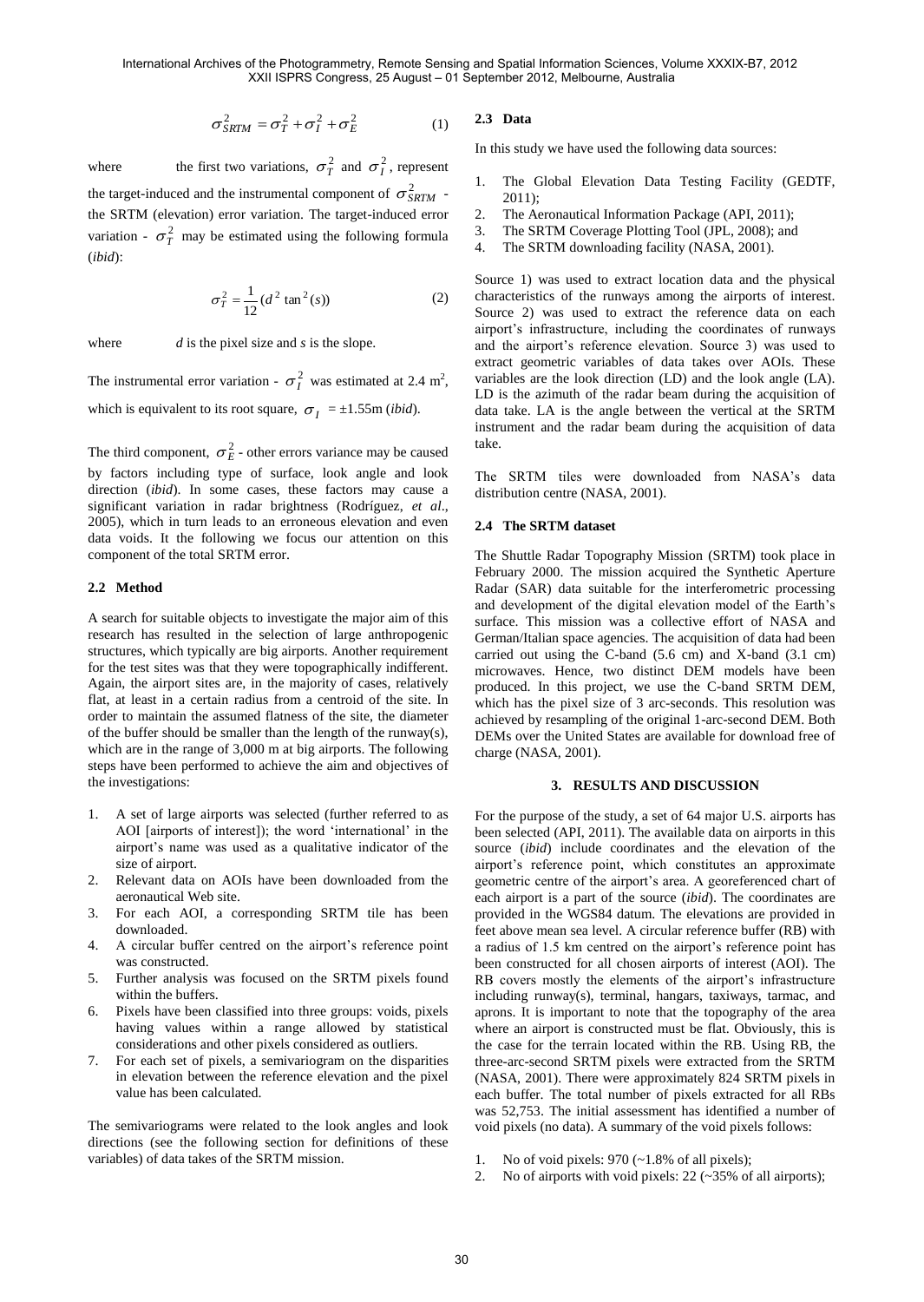$$
\sigma_{SRTM}^2 = \sigma_T^2 + \sigma_I^2 + \sigma_E^2 \tag{1}
$$

where the first two variations,  $\sigma_T^2$  and  $\sigma_I^2$ , represent the target-induced and the instrumental component of  $\sigma_{SRTM}^2$  the SRTM (elevation) error variation. The target-induced error variation -  $\sigma_T^2$  may be estimated using the following formula (*ibid*):

$$
\sigma_T^2 = \frac{1}{12} (d^2 \tan^2(s))
$$
 (2)

where *d* is the pixel size and *s* is the slope.

The instrumental error variation -  $\sigma_l^2$  was estimated at 2.4 m<sup>2</sup>, which is equivalent to its root square,  $\sigma_I = \pm 1.55$ m (*ibid*).

The third component,  $\sigma_E^2$  - other errors variance may be caused by factors including type of surface, look angle and look direction (*ibid*). In some cases, these factors may cause a significant variation in radar brightness (Rodríguez, *et al*., 2005), which in turn leads to an erroneous elevation and even data voids. It the following we focus our attention on this component of the total SRTM error.

#### **2.2 Method**

A search for suitable objects to investigate the major aim of this research has resulted in the selection of large anthropogenic structures, which typically are big airports. Another requirement for the test sites was that they were topographically indifferent. Again, the airport sites are, in the majority of cases, relatively flat, at least in a certain radius from a centroid of the site. In order to maintain the assumed flatness of the site, the diameter of the buffer should be smaller than the length of the runway(s), which are in the range of 3,000 m at big airports. The following steps have been performed to achieve the aim and objectives of the investigations:

- 1. A set of large airports was selected (further referred to as AOI [airports of interest]); the word 'international' in the airport's name was used as a qualitative indicator of the size of airport.
- 2. Relevant data on AOIs have been downloaded from the aeronautical Web site.
- 3. For each AOI, a corresponding SRTM tile has been downloaded.
- 4. A circular buffer centred on the airport's reference point was constructed.
- 5. Further analysis was focused on the SRTM pixels found within the buffers.
- 6. Pixels have been classified into three groups: voids, pixels having values within a range allowed by statistical considerations and other pixels considered as outliers.
- 7. For each set of pixels, a semivariogram on the disparities in elevation between the reference elevation and the pixel value has been calculated.

The semivariograms were related to the look angles and look directions (see the following section for definitions of these variables) of data takes of the SRTM mission.

## **2.3 Data**

In this study we have used the following data sources:

- 1. The Global Elevation Data Testing Facility (GEDTF, 2011);
- 2. The Aeronautical Information Package (API, 2011);
- 3. The SRTM Coverage Plotting Tool (JPL, 2008); and
- 4. The SRTM downloading facility (NASA, 2001).

Source 1) was used to extract location data and the physical characteristics of the runways among the airports of interest. Source 2) was used to extract the reference data on each airport's infrastructure, including the coordinates of runways and the airport's reference elevation. Source 3) was used to extract geometric variables of data takes over AOIs. These variables are the look direction (LD) and the look angle (LA). LD is the azimuth of the radar beam during the acquisition of data take. LA is the angle between the vertical at the SRTM instrument and the radar beam during the acquisition of data take.

The SRTM tiles were downloaded from NASA's data distribution centre (NASA, 2001).

## **2.4 The SRTM dataset**

The Shuttle Radar Topography Mission (SRTM) took place in February 2000. The mission acquired the Synthetic Aperture Radar (SAR) data suitable for the interferometric processing and development of the digital elevation model of the Earth's surface. This mission was a collective effort of NASA and German/Italian space agencies. The acquisition of data had been carried out using the C-band (5.6 cm) and X-band (3.1 cm) microwaves. Hence, two distinct DEM models have been produced. In this project, we use the C-band SRTM DEM, which has the pixel size of 3 arc-seconds. This resolution was achieved by resampling of the original 1-arc-second DEM. Both DEMs over the United States are available for download free of charge (NASA, 2001).

#### **3. RESULTS AND DISCUSSION**

For the purpose of the study, a set of 64 major U.S. airports has been selected (API, 2011). The available data on airports in this source (*ibid*) include coordinates and the elevation of the airport's reference point, which constitutes an approximate geometric centre of the airport's area. A georeferenced chart of each airport is a part of the source (*ibid*). The coordinates are provided in the WGS84 datum. The elevations are provided in feet above mean sea level. A circular reference buffer (RB) with a radius of 1.5 km centred on the airport's reference point has been constructed for all chosen airports of interest (AOI). The RB covers mostly the elements of the airport's infrastructure including runway(s), terminal, hangars, taxiways, tarmac, and aprons. It is important to note that the topography of the area where an airport is constructed must be flat. Obviously, this is the case for the terrain located within the RB. Using RB, the three-arc-second SRTM pixels were extracted from the SRTM (NASA, 2001). There were approximately 824 SRTM pixels in each buffer. The total number of pixels extracted for all RBs was 52,753. The initial assessment has identified a number of void pixels (no data). A summary of the void pixels follows:

- 1. No of void pixels:  $970$  ( $\sim$ 1.8% of all pixels);
- 2. No of airports with void pixels: 22 (~35% of all airports);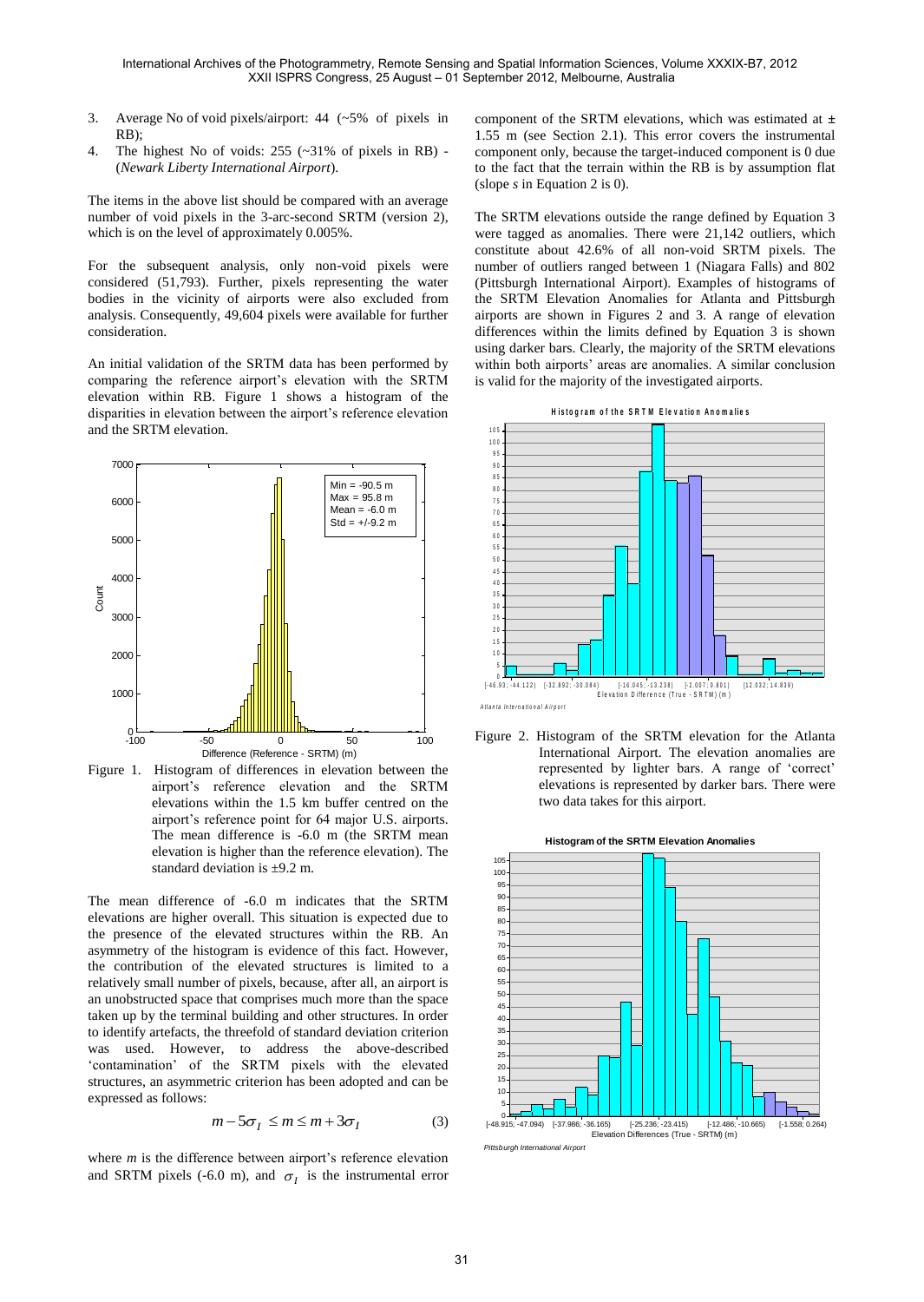- 3. Average No of void pixels/airport: 44 (~5% of pixels in RB);
- 4. The highest No of voids: 255 (~31% of pixels in RB) (*Newark Liberty International Airport*).

The items in the above list should be compared with an average number of void pixels in the 3-arc-second SRTM (version 2), which is on the level of approximately 0.005%.

For the subsequent analysis, only non-void pixels were considered (51,793). Further, pixels representing the water bodies in the vicinity of airports were also excluded from analysis. Consequently, 49,604 pixels were available for further consideration.

An initial validation of the SRTM data has been performed by comparing the reference airport's elevation with the SRTM elevation within RB. Figure 1 shows a histogram of the disparities in elevation between the airport's reference elevation and the SRTM elevation.



Figure 1. Histogram of differences in elevation between the airport's reference elevation and the SRTM elevations within the 1.5 km buffer centred on the airport's reference point for 64 major U.S. airports. The mean difference is -6.0 m (the SRTM mean elevation is higher than the reference elevation). The standard deviation is  $\pm$ 9.2 m.

The mean difference of -6.0 m indicates that the SRTM elevations are higher overall. This situation is expected due to the presence of the elevated structures within the RB. An asymmetry of the histogram is evidence of this fact. However, the contribution of the elevated structures is limited to a relatively small number of pixels, because, after all, an airport is an unobstructed space that comprises much more than the space taken up by the terminal building and other structures. In order to identify artefacts, the threefold of standard deviation criterion was used. However, to address the above-described ‗contamination' of the SRTM pixels with the elevated structures, an asymmetric criterion has been adopted and can be expressed as follows:

$$
m - 5\sigma_I \le m \le m + 3\sigma_I \tag{3}
$$

where *m* is the difference between airport's reference elevation and SRTM pixels (-6.0 m), and  $\sigma<sub>I</sub>$  is the instrumental error component of the SRTM elevations, which was estimated at **±** 1.55 m (see Section 2.1). This error covers the instrumental component only, because the target-induced component is 0 due to the fact that the terrain within the RB is by assumption flat (slope *s* in Equation 2 is 0).

The SRTM elevations outside the range defined by Equation 3 were tagged as anomalies. There were 21,142 outliers, which constitute about 42.6% of all non-void SRTM pixels. The number of outliers ranged between 1 (Niagara Falls) and 802 (Pittsburgh International Airport). Examples of histograms of the SRTM Elevation Anomalies for Atlanta and Pittsburgh airports are shown in Figures 2 and 3. A range of elevation differences within the limits defined by Equation 3 is shown using darker bars. Clearly, the majority of the SRTM elevations within both airports' areas are anomalies. A similar conclusion is valid for the majority of the investigated airports.





Figure 2. Histogram of the SRTM elevation for the Atlanta International Airport. The elevation anomalies are represented by lighter bars. A range of 'correct' elevations is represented by darker bars. There were two data takes for this airport.

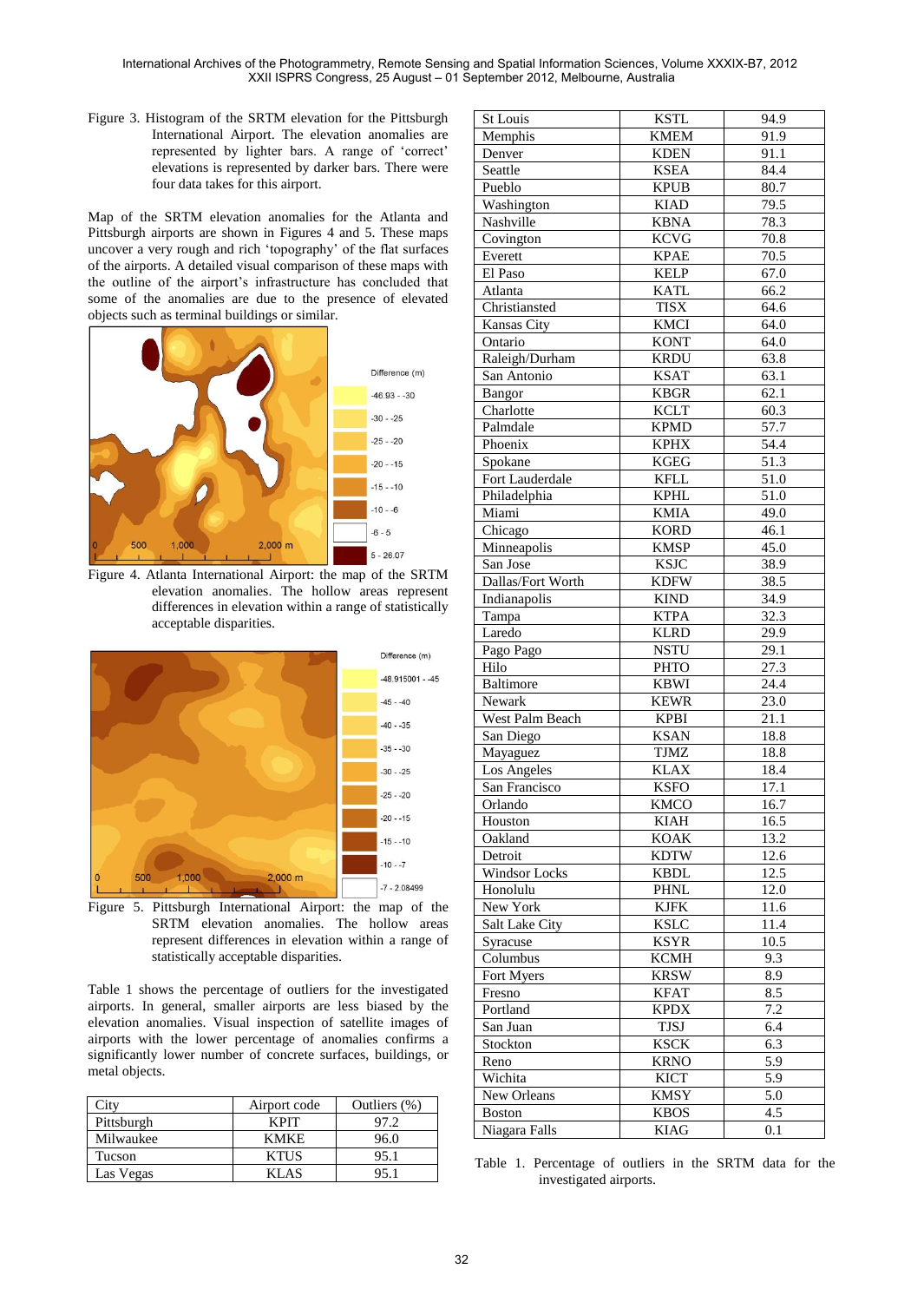International Archives of the Photogrammetry, Remote Sensing and Spatial Information Sciences, Volume XXXIX-B7, 2012 XXII ISPRS Congress, 25 August – 01 September 2012, Melbourne, Australia

Figure 3. Histogram of the SRTM elevation for the Pittsburgh International Airport. The elevation anomalies are represented by lighter bars. A range of 'correct' elevations is represented by darker bars. There were four data takes for this airport.

Map of the SRTM elevation anomalies for the Atlanta and Pittsburgh airports are shown in Figures 4 and 5. These maps uncover a very rough and rich 'topography' of the flat surfaces of the airports. A detailed visual comparison of these maps with the outline of the airport's infrastructure has concluded that some of the anomalies are due to the presence of elevated objects such as terminal buildings or similar.



Figure 4. Atlanta International Airport: the map of the SRTM elevation anomalies. The hollow areas represent differences in elevation within a range of statistically acceptable disparities.



Figure 5. Pittsburgh International Airport: the map of the SRTM elevation anomalies. The hollow areas represent differences in elevation within a range of statistically acceptable disparities.

Table 1 shows the percentage of outliers for the investigated airports. In general, smaller airports are less biased by the elevation anomalies. Visual inspection of satellite images of airports with the lower percentage of anomalies confirms a significantly lower number of concrete surfaces, buildings, or metal objects.

| -itv       | Airport code  | Outliers $(\%)$ |
|------------|---------------|-----------------|
| Pittsburgh | KPIT          | 97.2            |
| Milwaukee  | KMKE.         | 96.0            |
| Tucson     | <b>KTUS</b>   | 95.1            |
| Las Vegas  | $\angle$ T AS |                 |

| St Louis              | <b>KSTL</b> | 94.9              |
|-----------------------|-------------|-------------------|
| Memphis               | <b>KMEM</b> | 91.9              |
| Denver                | <b>KDEN</b> | 91.1              |
| Seattle               | <b>KSEA</b> | 84.4              |
| Pueblo                | <b>KPUB</b> | 80.7              |
| Washington            | <b>KIAD</b> | 79.5              |
| Nashville             | <b>KBNA</b> | 78.3              |
| Covington             | <b>KCVG</b> | 70.8              |
| Everett               | <b>KPAE</b> | 70.5              |
| El Paso               | <b>KELP</b> | 67.0              |
| Atlanta               | <b>KATL</b> | 66.2              |
| Christiansted         | <b>TISX</b> | 64.6              |
| Kansas City           | <b>KMCI</b> | 64.0              |
| Ontario               | <b>KONT</b> | 64.0              |
| Raleigh/Durham        | <b>KRDU</b> | 63.8              |
| San Antonio           | <b>KSAT</b> | 63.1              |
| Bangor                | <b>KBGR</b> | 62.1              |
| Charlotte             | <b>KCLT</b> | 60.3              |
| Palmdale              | <b>KPMD</b> | 57.7              |
| Phoenix               | <b>KPHX</b> | 54.4              |
| Spokane               | <b>KGEG</b> | 51.3              |
| Fort Lauderdale       | <b>KFLL</b> | 51.0              |
| Philadelphia          | <b>KPHL</b> | $\overline{51.0}$ |
| Miami                 | <b>KMIA</b> | 49.0              |
| Chicago               | <b>KORD</b> | 46.1              |
| Minneapolis           | <b>KMSP</b> | 45.0              |
| $\overline{San}$ Jose | <b>KSJC</b> | 38.9              |
| Dallas/Fort Worth     | <b>KDFW</b> | 38.5              |
| Indianapolis          | <b>KIND</b> | 34.9              |
| Tampa                 | <b>KTPA</b> | 32.3              |
| Laredo                | <b>KLRD</b> | 29.9              |
| Pago Pago             | <b>NSTU</b> | 29.1              |
| Hilo                  | PHTO        | 27.3              |
| Baltimore             | <b>KBWI</b> | 24.4              |
| Newark                | <b>KEWR</b> | 23.0              |
| West Palm Beach       | <b>KPBI</b> | 21.1              |
| San Diego             | <b>KSAN</b> | 18.8              |
| Mayaguez              | <b>TJMZ</b> | 18.8              |
| Los Angeles           | <b>KLAX</b> | 18.4              |
| San Francisco         | <b>KSFO</b> | 17.1              |
| Orlando               | KMCO        | 16.7              |
| Houston               | <b>KIAH</b> | 16.5              |
| Oakland               | <b>KOAK</b> | 13.2              |
| Detroit               | <b>KDTW</b> | 12.6              |
| Windsor Locks         | <b>KBDL</b> | 12.5              |
| Honolulu              | PHNL        | 12.0              |
| New York              | <b>KJFK</b> | 11.6              |
| Salt Lake City        | <b>KSLC</b> | 11.4              |
| Syracuse              | <b>KSYR</b> | 10.5              |
| Columbus              | <b>KCMH</b> | 9.3               |
| Fort Myers            | <b>KRSW</b> | 8.9               |
| Fresno                | <b>KFAT</b> | 8.5               |
| Portland              | <b>KPDX</b> | 7.2               |
| San Juan              | TJSJ        | 6.4               |
| Stockton              | <b>KSCK</b> | 6.3               |
| Reno                  | <b>KRNO</b> | 5.9               |
| Wichita               | <b>KICT</b> | 5.9               |
| New Orleans           | KMSY        | 5.0               |
| <b>Boston</b>         | <b>KBOS</b> | 4.5               |
| Niagara Falls         | <b>KIAG</b> | 0.1               |
|                       |             |                   |

Table 1. Percentage of outliers in the SRTM data for the investigated airports.